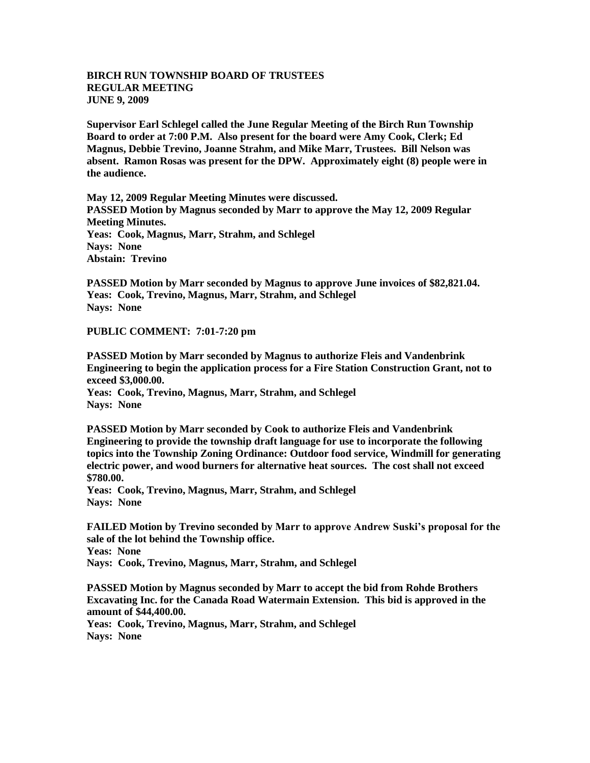## **BIRCH RUN TOWNSHIP BOARD OF TRUSTEES REGULAR MEETING JUNE 9, 2009**

**Supervisor Earl Schlegel called the June Regular Meeting of the Birch Run Township Board to order at 7:00 P.M. Also present for the board were Amy Cook, Clerk; Ed Magnus, Debbie Trevino, Joanne Strahm, and Mike Marr, Trustees. Bill Nelson was absent. Ramon Rosas was present for the DPW. Approximately eight (8) people were in the audience.** 

**May 12, 2009 Regular Meeting Minutes were discussed. PASSED Motion by Magnus seconded by Marr to approve the May 12, 2009 Regular Meeting Minutes. Yeas: Cook, Magnus, Marr, Strahm, and Schlegel Nays: None Abstain: Trevino**

**PASSED Motion by Marr seconded by Magnus to approve June invoices of \$82,821.04. Yeas: Cook, Trevino, Magnus, Marr, Strahm, and Schlegel Nays: None**

**PUBLIC COMMENT: 7:01-7:20 pm**

**PASSED Motion by Marr seconded by Magnus to authorize Fleis and Vandenbrink Engineering to begin the application process for a Fire Station Construction Grant, not to exceed \$3,000.00.**

**Yeas: Cook, Trevino, Magnus, Marr, Strahm, and Schlegel Nays: None**

**PASSED Motion by Marr seconded by Cook to authorize Fleis and Vandenbrink Engineering to provide the township draft language for use to incorporate the following topics into the Township Zoning Ordinance: Outdoor food service, Windmill for generating electric power, and wood burners for alternative heat sources. The cost shall not exceed \$780.00.**

**Yeas: Cook, Trevino, Magnus, Marr, Strahm, and Schlegel Nays: None**

**FAILED Motion by Trevino seconded by Marr to approve Andrew Suski's proposal for the sale of the lot behind the Township office. Yeas: None Nays: Cook, Trevino, Magnus, Marr, Strahm, and Schlegel**

**PASSED Motion by Magnus seconded by Marr to accept the bid from Rohde Brothers Excavating Inc. for the Canada Road Watermain Extension. This bid is approved in the amount of \$44,400.00.**

**Yeas: Cook, Trevino, Magnus, Marr, Strahm, and Schlegel Nays: None**